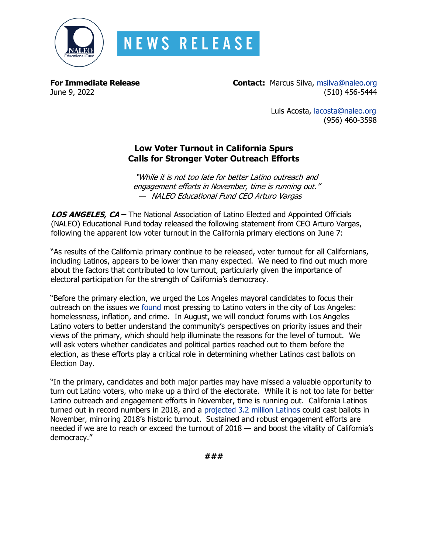

## **NEWS RELEASE**

**For Immediate Release Contact:** Marcus Silva, [msilva@naleo.org](mailto:msilva@naleo.org) June 9, 2022 (510) 456-5444

> Luis Acosta, [lacosta@naleo.org](mailto:lacosta@naleo.org) (956) 460-3598

## **Low Voter Turnout in California Spurs Calls for Stronger Voter Outreach Efforts**

"While it is not too late for better Latino outreach and engagement efforts in November, time is running out." — NALEO Educational Fund CEO Arturo Vargas

**LOS ANGELES, CA –** The National Association of Latino Elected and Appointed Officials (NALEO) Educational Fund today released the following statement from CEO Arturo Vargas, following the apparent low voter turnout in the California primary elections on June 7:

"As results of the California primary continue to be released, voter turnout for all Californians, including Latinos, appears to be lower than many expected. We need to find out much more about the factors that contributed to low turnout, particularly given the importance of electoral participation for the strength of California's democracy.

"Before the primary election, we urged the Los Angeles mayoral candidates to focus their outreach on the issues we [found](https://naleo.org/wp-content/uploads/2022/05/5_16_22_-_NEF_Release_-_LA_Voter_Snapshot_Data_Release_Final.pdf) most pressing to Latino voters in the city of Los Angeles: homelessness, inflation, and crime. In August, we will conduct forums with Los Angeles Latino voters to better understand the community's perspectives on priority issues and their views of the primary, which should help illuminate the reasons for the level of turnout. We will ask voters whether candidates and political parties reached out to them before the election, as these efforts play a critical role in determining whether Latinos cast ballots on Election Day.

"In the primary, candidates and both major parties may have missed a valuable opportunity to turn out Latino voters, who make up a third of the electorate. While it is not too late for better Latino outreach and engagement efforts in November, time is running out. California Latinos turned out in record numbers in 2018, and a [projected 3.2 million Latinos](https://naleo.org/wp-content/uploads/2022/05/6_01_22_-_NEF_Release_-_CA_Voter_Profile_Final-1.pdf) could cast ballots in November, mirroring 2018's historic turnout. Sustained and robust engagement efforts are needed if we are to reach or exceed the turnout of 2018 — and boost the vitality of California's democracy."

**###**